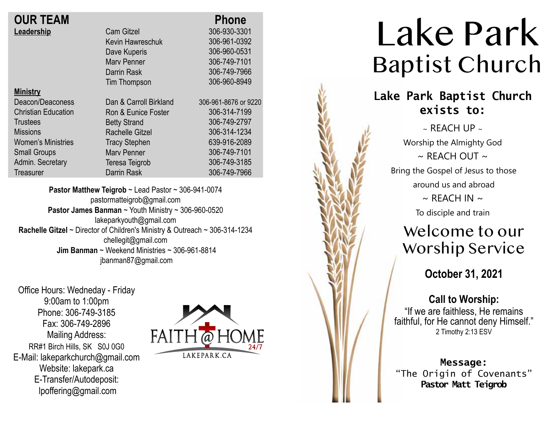| <b>OUR TEAM</b>   |  |
|-------------------|--|
| <b>Leadership</b> |  |

| VIINI<br>N |  |
|------------|--|
|            |  |

Deacon/Deaconess Christian Education **Trustees Missions** Women's Ministries Small Groups Admin. Secretary **Treasurer** 

Cam Gitzel Kevin Hawreschuk Dave Kuperis Marv Penner Darrin Rask Tim Thompson Dan & Carroll Birkland Ron & Eunice Foster Betty Strand Rachelle Gitzel Tracy Stephen Marv Penner Teresa Teigrob Darrin Rask  **Phone** 306-930-3301 306-961-0392 306-960-0531 306-749-7101 306-749-7966 306-960-8949 306-961-8676 or 9220 306-314-7199 306-749-2797 306-314-1234 639-916-2089 306-749-7101 306-749-3185 306-749-7966

**Pastor Matthew Teigrob** ~ Lead Pastor ~ 306-941-0074 pastormatteigrob@gmail.com **Pastor James Banman** ~ Youth Ministry ~ 306-960-0520 lakeparkyouth@gmail.com **Rachelle Gitzel** ~ Director of Children's Ministry & Outreach ~ 306-314-1234 chellegit@gmail.com  **Jim Banman** ~ Weekend Ministries ~ 306-961-8814 jbanman87@gmail.com

Office Hours: Wedneday - Friday 9:00am to 1:00pm Phone: 306-749-3185 Fax: 306-749-2896 Mailing Address: RR#1 Birch Hills, SK S0J 0G0 E-Mail: lakeparkchurch@gmail.com Website: lakepark.ca E-Transfer/Autodeposit: lpoffering@gmail.com



# Lake Park Baptist Church

# **Lake Park Baptist Church exists to:**

 $\sim$  REACH UP  $\sim$ Worship the Almighty God  $\sim$  RFACH OUT  $\sim$ Bring the Gospel of Jesus to those around us and abroad  $\sim$  REACH IN  $\sim$ To disciple and train

# Welcome to our Worship Service

**October 31, 2021**

### **Call to Worship:**

"If we are faithless, He remains faithful, for He cannot deny Himself." 2 Timothy 2:13 ESV

**Message:** "The Origin of Covenants" **Pastor Matt Teigrob**